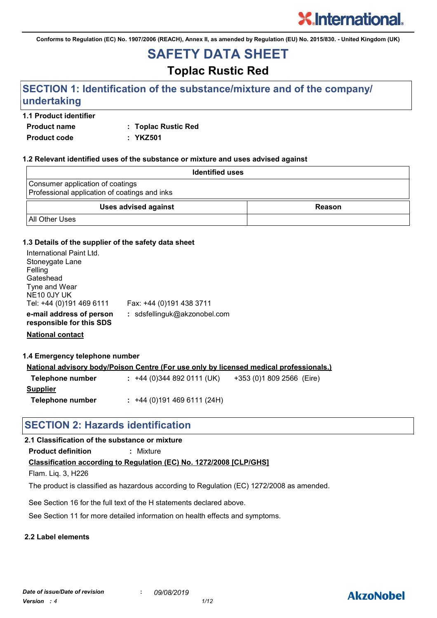**Conforms to Regulation (EC) No. 1907/2006 (REACH), Annex II, as amended by Regulation (EU) No. 2015/830. - United Kingdom (UK)**

# **SAFETY DATA SHEET**

# **Toplac Rustic Red**

# **SECTION 1: Identification of the substance/mixture and of the company/ undertaking**

#### **1.1 Product identifier**

**Product name : Toplac Rustic Red**

**Product code : YKZ501**

#### **1.2 Relevant identified uses of the substance or mixture and uses advised against**

| <b>Identified uses</b>                                                            |        |
|-----------------------------------------------------------------------------------|--------|
| Consumer application of coatings<br>Professional application of coatings and inks |        |
| <b>Uses advised against</b>                                                       | Reason |
| <b>All Other Uses</b>                                                             |        |

#### **1.3 Details of the supplier of the safety data sheet**

| International Paint Ltd.<br>Stoneygate Lane          |                              |
|------------------------------------------------------|------------------------------|
| Felling                                              |                              |
| Gateshead                                            |                              |
| Tyne and Wear                                        |                              |
| NE10 0JY UK                                          |                              |
| Tel: +44 (0)191 469 6111                             | Fax: +44 (0)191 438 3711     |
| e-mail address of person<br>responsible for this SDS | : sdsfellinguk@akzonobel.com |

**National contact**

**1.4 Emergency telephone number**

| <u>National advisory body/Poison Centre (For use only by licensed medical professionals.)</u> |                          |                           |  |
|-----------------------------------------------------------------------------------------------|--------------------------|---------------------------|--|
| Telephone number                                                                              | $: +44(0)3448920111(UK)$ | +353 (0)1 809 2566 (Eire) |  |
| Supplier                                                                                      |                          |                           |  |

**Telephone number :** +44 (0)191 469 6111 (24H)

# **SECTION 2: Hazards identification**

#### **2.1 Classification of the substance or mixture**

**Product definition :** Mixture

#### **Classification according to Regulation (EC) No. 1272/2008 [CLP/GHS]**

Flam. Liq. 3, H226

The product is classified as hazardous according to Regulation (EC) 1272/2008 as amended.

See Section 16 for the full text of the H statements declared above.

See Section 11 for more detailed information on health effects and symptoms.

### **2.2 Label elements**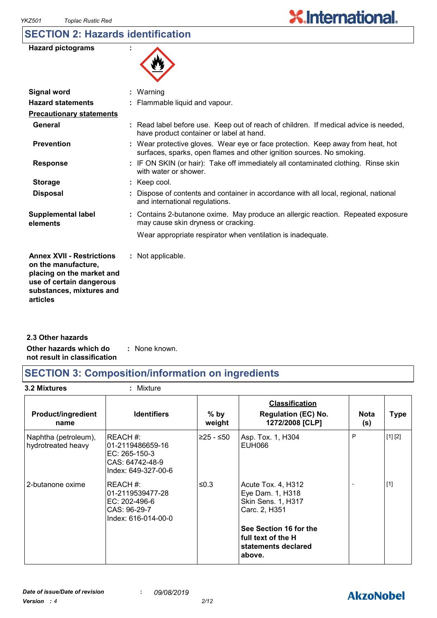# **SECTION 2: Hazards identification**

| <b>Hazard pictograms</b> |  |
|--------------------------|--|
|--------------------------|--|



| <b>Signal word</b>                                                                                                                                       | : Warning                                                                                                                                                |
|----------------------------------------------------------------------------------------------------------------------------------------------------------|----------------------------------------------------------------------------------------------------------------------------------------------------------|
| <b>Hazard statements</b>                                                                                                                                 | : Flammable liquid and vapour.                                                                                                                           |
| <b>Precautionary statements</b>                                                                                                                          |                                                                                                                                                          |
| General                                                                                                                                                  | : Read label before use. Keep out of reach of children. If medical advice is needed,<br>have product container or label at hand.                         |
| <b>Prevention</b>                                                                                                                                        | : Wear protective gloves. Wear eye or face protection. Keep away from heat, hot<br>surfaces, sparks, open flames and other ignition sources. No smoking. |
| <b>Response</b>                                                                                                                                          | : IF ON SKIN (or hair): Take off immediately all contaminated clothing. Rinse skin<br>with water or shower.                                              |
| <b>Storage</b>                                                                                                                                           | $:$ Keep cool.                                                                                                                                           |
| <b>Disposal</b>                                                                                                                                          | Dispose of contents and container in accordance with all local, regional, national<br>and international regulations.                                     |
| <b>Supplemental label</b><br>elements                                                                                                                    | : Contains 2-butanone oxime. May produce an allergic reaction. Repeated exposure<br>may cause skin dryness or cracking.                                  |
|                                                                                                                                                          | Wear appropriate respirator when ventilation is inadequate.                                                                                              |
| <b>Annex XVII - Restrictions</b><br>on the manufacture,<br>placing on the market and<br>use of certain dangerous<br>substances, mixtures and<br>articles | : Not applicable.                                                                                                                                        |
|                                                                                                                                                          |                                                                                                                                                          |

**Other hazards which do : not result in classification** : None known. **2.3 Other hazards**

# **SECTION 3: Composition/information on ingredients**

**3.2 Mixtures :** Mixture

| <b>Product/ingredient</b><br>name          | <b>Identifiers</b>                                                                      | $%$ by<br>weight | <b>Classification</b><br><b>Regulation (EC) No.</b><br>1272/2008 [CLP]          | <b>Nota</b><br>(s) | <b>Type</b> |
|--------------------------------------------|-----------------------------------------------------------------------------------------|------------------|---------------------------------------------------------------------------------|--------------------|-------------|
| Naphtha (petroleum),<br>hydrotreated heavy | REACH#:<br>l01-2119486659-16<br>EC: 265-150-3<br>CAS: 64742-48-9<br>Index: 649-327-00-6 | ≥25 - ≤50        | Asp. Tox. 1, H304<br>EUH066                                                     | P                  | [1] [2]     |
| 2-butanone oxime                           | REACH #:<br>01-2119539477-28<br>EC: 202-496-6<br>CAS: 96-29-7<br>Index: 616-014-00-0    | ≤0.3             | Acute Tox. 4, H312<br>Eye Dam. 1, H318<br>Skin Sens. 1, H317<br>Carc. 2, H351   |                    | $[1]$       |
|                                            |                                                                                         |                  | See Section 16 for the<br>l full text of the H<br>statements declared<br>above. |                    |             |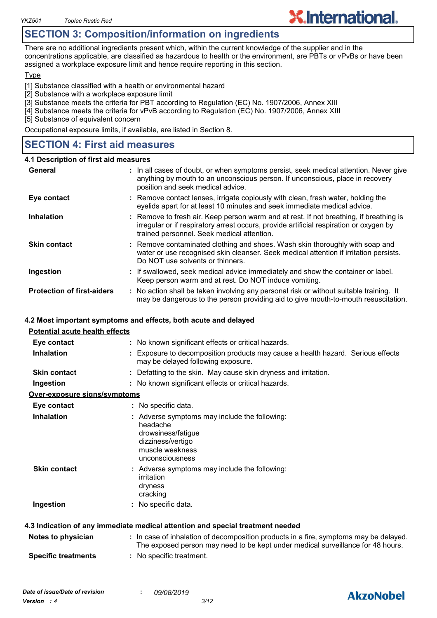# **SECTION 3: Composition/information on ingredients**

There are no additional ingredients present which, within the current knowledge of the supplier and in the concentrations applicable, are classified as hazardous to health or the environment, are PBTs or vPvBs or have been assigned a workplace exposure limit and hence require reporting in this section.

**X.International.** 

#### **Type**

[1] Substance classified with a health or environmental hazard

- [2] Substance with a workplace exposure limit
- [3] Substance meets the criteria for PBT according to Regulation (EC) No. 1907/2006, Annex XIII
- [4] Substance meets the criteria for vPvB according to Regulation (EC) No. 1907/2006, Annex XIII

[5] Substance of equivalent concern

Occupational exposure limits, if available, are listed in Section 8.

# **SECTION 4: First aid measures**

#### **4.1 Description of first aid measures**

| General                           | : In all cases of doubt, or when symptoms persist, seek medical attention. Never give<br>anything by mouth to an unconscious person. If unconscious, place in recovery<br>position and seek medical advice.                    |
|-----------------------------------|--------------------------------------------------------------------------------------------------------------------------------------------------------------------------------------------------------------------------------|
| Eye contact                       | : Remove contact lenses, irrigate copiously with clean, fresh water, holding the<br>eyelids apart for at least 10 minutes and seek immediate medical advice.                                                                   |
| <b>Inhalation</b>                 | : Remove to fresh air. Keep person warm and at rest. If not breathing, if breathing is<br>irregular or if respiratory arrest occurs, provide artificial respiration or oxygen by<br>trained personnel. Seek medical attention. |
| <b>Skin contact</b>               | : Remove contaminated clothing and shoes. Wash skin thoroughly with soap and<br>water or use recognised skin cleanser. Seek medical attention if irritation persists.<br>Do NOT use solvents or thinners.                      |
| Ingestion                         | : If swallowed, seek medical advice immediately and show the container or label.<br>Keep person warm and at rest. Do NOT induce vomiting.                                                                                      |
| <b>Protection of first-aiders</b> | : No action shall be taken involving any personal risk or without suitable training. It<br>may be dangerous to the person providing aid to give mouth-to-mouth resuscitation.                                                  |

#### **4.2 Most important symptoms and effects, both acute and delayed**

| <b>Potential acute health effects</b> |                                                                                                                                                                          |
|---------------------------------------|--------------------------------------------------------------------------------------------------------------------------------------------------------------------------|
| Eye contact                           | : No known significant effects or critical hazards.                                                                                                                      |
| <b>Inhalation</b>                     | : Exposure to decomposition products may cause a health hazard. Serious effects<br>may be delayed following exposure.                                                    |
| <b>Skin contact</b>                   | : Defatting to the skin. May cause skin dryness and irritation.                                                                                                          |
| Ingestion                             | : No known significant effects or critical hazards.                                                                                                                      |
| Over-exposure signs/symptoms          |                                                                                                                                                                          |
| Eye contact                           | : No specific data.                                                                                                                                                      |
| <b>Inhalation</b>                     | : Adverse symptoms may include the following:<br>headache<br>drowsiness/fatigue<br>dizziness/vertigo<br>muscle weakness<br>unconsciousness                               |
| <b>Skin contact</b>                   | : Adverse symptoms may include the following:<br>irritation<br>dryness<br>cracking                                                                                       |
| Ingestion                             | : No specific data.                                                                                                                                                      |
|                                       | 4.3 Indication of any immediate medical attention and special treatment needed                                                                                           |
| Notes to physician                    | : In case of inhalation of decomposition products in a fire, symptoms may be delayed.<br>The exposed person may need to be kept under medical surveillance for 48 hours. |
| <b>Specific treatments</b>            | : No specific treatment.                                                                                                                                                 |



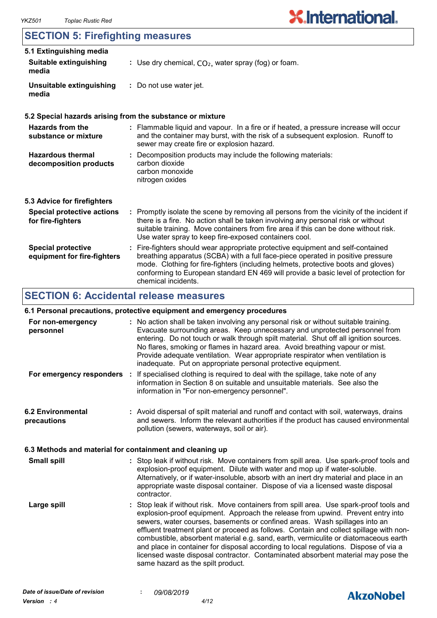# **SECTION 5: Firefighting measures**

| 5.1 Extinguishing media                                  |                                                                                                                                                                                                                                                                                                                                                                       |  |
|----------------------------------------------------------|-----------------------------------------------------------------------------------------------------------------------------------------------------------------------------------------------------------------------------------------------------------------------------------------------------------------------------------------------------------------------|--|
| <b>Suitable extinguishing</b><br>media                   | : Use dry chemical, $CO2$ , water spray (fog) or foam.                                                                                                                                                                                                                                                                                                                |  |
| Unsuitable extinguishing<br>media                        | : Do not use water jet.                                                                                                                                                                                                                                                                                                                                               |  |
|                                                          | 5.2 Special hazards arising from the substance or mixture                                                                                                                                                                                                                                                                                                             |  |
| Hazards from the<br>substance or mixture                 | : Flammable liquid and vapour. In a fire or if heated, a pressure increase will occur<br>and the container may burst, with the risk of a subsequent explosion. Runoff to<br>sewer may create fire or explosion hazard.                                                                                                                                                |  |
| <b>Hazardous thermal</b><br>decomposition products       | : Decomposition products may include the following materials:<br>carbon dioxide<br>carbon monoxide<br>nitrogen oxides                                                                                                                                                                                                                                                 |  |
| 5.3 Advice for firefighters                              |                                                                                                                                                                                                                                                                                                                                                                       |  |
| <b>Special protective actions</b><br>for fire-fighters   | : Promptly isolate the scene by removing all persons from the vicinity of the incident if<br>there is a fire. No action shall be taken involving any personal risk or without<br>suitable training. Move containers from fire area if this can be done without risk.<br>Use water spray to keep fire-exposed containers cool.                                         |  |
| <b>Special protective</b><br>equipment for fire-fighters | : Fire-fighters should wear appropriate protective equipment and self-contained<br>breathing apparatus (SCBA) with a full face-piece operated in positive pressure<br>mode. Clothing for fire-fighters (including helmets, protective boots and gloves)<br>conforming to European standard EN 469 will provide a basic level of protection for<br>chemical incidents. |  |

# **SECTION 6: Accidental release measures**

#### **6.1 Personal precautions, protective equipment and emergency procedures**

| For non-emergency<br>personnel          | : No action shall be taken involving any personal risk or without suitable training.<br>Evacuate surrounding areas. Keep unnecessary and unprotected personnel from<br>entering. Do not touch or walk through spilt material. Shut off all ignition sources.<br>No flares, smoking or flames in hazard area. Avoid breathing vapour or mist.<br>Provide adequate ventilation. Wear appropriate respirator when ventilation is<br>inadequate. Put on appropriate personal protective equipment.                                                                                                                                                             |
|-----------------------------------------|------------------------------------------------------------------------------------------------------------------------------------------------------------------------------------------------------------------------------------------------------------------------------------------------------------------------------------------------------------------------------------------------------------------------------------------------------------------------------------------------------------------------------------------------------------------------------------------------------------------------------------------------------------|
| For emergency responders :              | If specialised clothing is required to deal with the spillage, take note of any<br>information in Section 8 on suitable and unsuitable materials. See also the<br>information in "For non-emergency personnel".                                                                                                                                                                                                                                                                                                                                                                                                                                            |
| <b>6.2 Environmental</b><br>precautions | : Avoid dispersal of spilt material and runoff and contact with soil, waterways, drains<br>and sewers. Inform the relevant authorities if the product has caused environmental<br>pollution (sewers, waterways, soil or air).                                                                                                                                                                                                                                                                                                                                                                                                                              |
|                                         | 6.3 Methods and material for containment and cleaning up                                                                                                                                                                                                                                                                                                                                                                                                                                                                                                                                                                                                   |
| <b>Small spill</b>                      | : Stop leak if without risk. Move containers from spill area. Use spark-proof tools and<br>explosion-proof equipment. Dilute with water and mop up if water-soluble.<br>Alternatively, or if water-insoluble, absorb with an inert dry material and place in an<br>appropriate waste disposal container. Dispose of via a licensed waste disposal<br>contractor.                                                                                                                                                                                                                                                                                           |
| Large spill                             | : Stop leak if without risk. Move containers from spill area. Use spark-proof tools and<br>explosion-proof equipment. Approach the release from upwind. Prevent entry into<br>sewers, water courses, basements or confined areas. Wash spillages into an<br>effluent treatment plant or proceed as follows. Contain and collect spillage with non-<br>combustible, absorbent material e.g. sand, earth, vermiculite or diatomaceous earth<br>and place in container for disposal according to local regulations. Dispose of via a<br>licensed waste disposal contractor. Contaminated absorbent material may pose the<br>same hazard as the spilt product. |

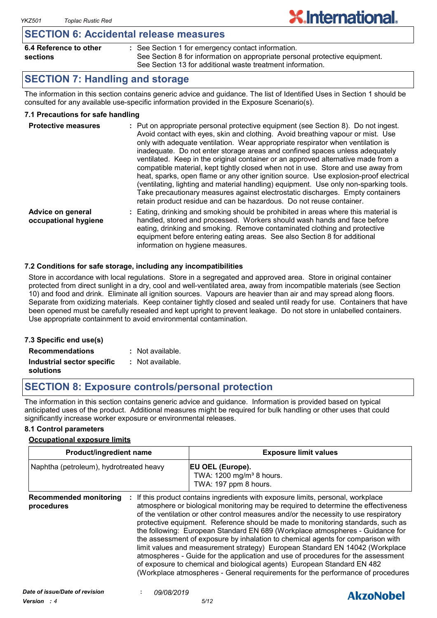### **SECTION 6: Accidental release measures**

| 6.4 Reference to other | : See Section 1 for emergency contact information.                          |
|------------------------|-----------------------------------------------------------------------------|
| sections               | See Section 8 for information on appropriate personal protective equipment. |
|                        | See Section 13 for additional waste treatment information.                  |

**X.International.** 

# **SECTION 7: Handling and storage**

The information in this section contains generic advice and guidance. The list of Identified Uses in Section 1 should be consulted for any available use-specific information provided in the Exposure Scenario(s).

#### **7.1 Precautions for safe handling**

| <b>Protective measures</b>                | : Put on appropriate personal protective equipment (see Section 8). Do not ingest.<br>Avoid contact with eyes, skin and clothing. Avoid breathing vapour or mist. Use<br>only with adequate ventilation. Wear appropriate respirator when ventilation is<br>inadequate. Do not enter storage areas and confined spaces unless adequately<br>ventilated. Keep in the original container or an approved alternative made from a<br>compatible material, kept tightly closed when not in use. Store and use away from<br>heat, sparks, open flame or any other ignition source. Use explosion-proof electrical<br>(ventilating, lighting and material handling) equipment. Use only non-sparking tools.<br>Take precautionary measures against electrostatic discharges. Empty containers<br>retain product residue and can be hazardous. Do not reuse container. |
|-------------------------------------------|----------------------------------------------------------------------------------------------------------------------------------------------------------------------------------------------------------------------------------------------------------------------------------------------------------------------------------------------------------------------------------------------------------------------------------------------------------------------------------------------------------------------------------------------------------------------------------------------------------------------------------------------------------------------------------------------------------------------------------------------------------------------------------------------------------------------------------------------------------------|
| Advice on general<br>occupational hygiene | Eating, drinking and smoking should be prohibited in areas where this material is<br>handled, stored and processed. Workers should wash hands and face before<br>eating, drinking and smoking. Remove contaminated clothing and protective<br>equipment before entering eating areas. See also Section 8 for additional                                                                                                                                                                                                                                                                                                                                                                                                                                                                                                                                        |

#### **7.2 Conditions for safe storage, including any incompatibilities**

Store in accordance with local regulations. Store in a segregated and approved area. Store in original container protected from direct sunlight in a dry, cool and well-ventilated area, away from incompatible materials (see Section 10) and food and drink. Eliminate all ignition sources. Vapours are heavier than air and may spread along floors. Separate from oxidizing materials. Keep container tightly closed and sealed until ready for use. Containers that have been opened must be carefully resealed and kept upright to prevent leakage. Do not store in unlabelled containers. Use appropriate containment to avoid environmental contamination.

information on hygiene measures.

#### **7.3 Specific end use(s) Recommendations : Industrial sector specific : solutions** : Not available. Not available.

# **SECTION 8: Exposure controls/personal protection**

The information in this section contains generic advice and guidance. Information is provided based on typical anticipated uses of the product. Additional measures might be required for bulk handling or other uses that could significantly increase worker exposure or environmental releases.

#### **8.1 Control parameters**

#### **Occupational exposure limits**

| <b>Product/ingredient name</b>              |  | <b>Exposure limit values</b>                                                                                                                                                                                                                                                                                                                                                                                                                                                                                                                                                                                                                                                                                                                                                                                                                          |  |
|---------------------------------------------|--|-------------------------------------------------------------------------------------------------------------------------------------------------------------------------------------------------------------------------------------------------------------------------------------------------------------------------------------------------------------------------------------------------------------------------------------------------------------------------------------------------------------------------------------------------------------------------------------------------------------------------------------------------------------------------------------------------------------------------------------------------------------------------------------------------------------------------------------------------------|--|
| Naphtha (petroleum), hydrotreated heavy     |  | EU OEL (Europe).<br>TWA: 1200 mg/m <sup>3</sup> 8 hours.<br>TWA: 197 ppm 8 hours.                                                                                                                                                                                                                                                                                                                                                                                                                                                                                                                                                                                                                                                                                                                                                                     |  |
| <b>Recommended monitoring</b><br>procedures |  | If this product contains ingredients with exposure limits, personal, workplace<br>atmosphere or biological monitoring may be required to determine the effectiveness<br>of the ventilation or other control measures and/or the necessity to use respiratory<br>protective equipment. Reference should be made to monitoring standards, such as<br>the following: European Standard EN 689 (Workplace atmospheres - Guidance for<br>the assessment of exposure by inhalation to chemical agents for comparison with<br>limit values and measurement strategy) European Standard EN 14042 (Workplace<br>atmospheres - Guide for the application and use of procedures for the assessment<br>of exposure to chemical and biological agents) European Standard EN 482<br>(Workplace atmospheres - General requirements for the performance of procedures |  |

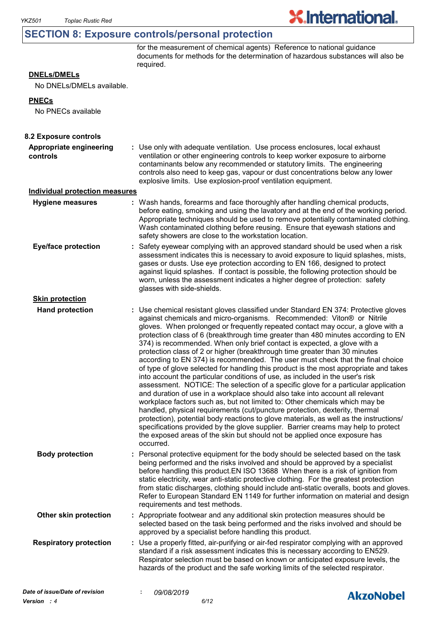# **SECTION 8: Exposure controls/personal protection**

for the measurement of chemical agents) Reference to national guidance documents for methods for the determination of hazardous substances will also be required.

**X.International.** 

#### **DNELs/DMELs**

No DNELs/DMELs available.

#### **PNECs**

No PNECs available

| 8.2 Exposure controls                 |                                                                                                                                                                                                                                                                                                                                                                                                                                                                                                                                                                                                                                                                                                                                                                                                                                                                                                                                                                                                                                                                                                                                                                                                                                                                                                                                                                          |                  |
|---------------------------------------|--------------------------------------------------------------------------------------------------------------------------------------------------------------------------------------------------------------------------------------------------------------------------------------------------------------------------------------------------------------------------------------------------------------------------------------------------------------------------------------------------------------------------------------------------------------------------------------------------------------------------------------------------------------------------------------------------------------------------------------------------------------------------------------------------------------------------------------------------------------------------------------------------------------------------------------------------------------------------------------------------------------------------------------------------------------------------------------------------------------------------------------------------------------------------------------------------------------------------------------------------------------------------------------------------------------------------------------------------------------------------|------------------|
| Appropriate engineering<br>controls   | : Use only with adequate ventilation. Use process enclosures, local exhaust<br>ventilation or other engineering controls to keep worker exposure to airborne<br>contaminants below any recommended or statutory limits. The engineering<br>controls also need to keep gas, vapour or dust concentrations below any lower<br>explosive limits. Use explosion-proof ventilation equipment.                                                                                                                                                                                                                                                                                                                                                                                                                                                                                                                                                                                                                                                                                                                                                                                                                                                                                                                                                                                 |                  |
| <b>Individual protection measures</b> |                                                                                                                                                                                                                                                                                                                                                                                                                                                                                                                                                                                                                                                                                                                                                                                                                                                                                                                                                                                                                                                                                                                                                                                                                                                                                                                                                                          |                  |
| <b>Hygiene measures</b>               | : Wash hands, forearms and face thoroughly after handling chemical products,<br>before eating, smoking and using the lavatory and at the end of the working period.<br>Appropriate techniques should be used to remove potentially contaminated clothing.<br>Wash contaminated clothing before reusing. Ensure that eyewash stations and<br>safety showers are close to the workstation location.                                                                                                                                                                                                                                                                                                                                                                                                                                                                                                                                                                                                                                                                                                                                                                                                                                                                                                                                                                        |                  |
| <b>Eye/face protection</b>            | Safety eyewear complying with an approved standard should be used when a risk<br>assessment indicates this is necessary to avoid exposure to liquid splashes, mists,<br>gases or dusts. Use eye protection according to EN 166, designed to protect<br>against liquid splashes. If contact is possible, the following protection should be<br>worn, unless the assessment indicates a higher degree of protection: safety<br>glasses with side-shields.                                                                                                                                                                                                                                                                                                                                                                                                                                                                                                                                                                                                                                                                                                                                                                                                                                                                                                                  |                  |
| <b>Skin protection</b>                |                                                                                                                                                                                                                                                                                                                                                                                                                                                                                                                                                                                                                                                                                                                                                                                                                                                                                                                                                                                                                                                                                                                                                                                                                                                                                                                                                                          |                  |
| <b>Hand protection</b>                | : Use chemical resistant gloves classified under Standard EN 374: Protective gloves<br>against chemicals and micro-organisms. Recommended: Viton® or Nitrile<br>gloves. When prolonged or frequently repeated contact may occur, a glove with a<br>protection class of 6 (breakthrough time greater than 480 minutes according to EN<br>374) is recommended. When only brief contact is expected, a glove with a<br>protection class of 2 or higher (breakthrough time greater than 30 minutes<br>according to EN 374) is recommended. The user must check that the final choice<br>of type of glove selected for handling this product is the most appropriate and takes<br>into account the particular conditions of use, as included in the user's risk<br>assessment. NOTICE: The selection of a specific glove for a particular application<br>and duration of use in a workplace should also take into account all relevant<br>workplace factors such as, but not limited to: Other chemicals which may be<br>handled, physical requirements (cut/puncture protection, dexterity, thermal<br>protection), potential body reactions to glove materials, as well as the instructions/<br>specifications provided by the glove supplier. Barrier creams may help to protect<br>the exposed areas of the skin but should not be applied once exposure has<br>occurred. |                  |
| <b>Body protection</b>                | : Personal protective equipment for the body should be selected based on the task<br>being performed and the risks involved and should be approved by a specialist<br>before handling this product. EN ISO 13688 When there is a risk of ignition from<br>static electricity, wear anti-static protective clothing. For the greatest protection<br>from static discharges, clothing should include anti-static overalls, boots and gloves.<br>Refer to European Standard EN 1149 for further information on material and design<br>requirements and test methods.                                                                                                                                                                                                                                                                                                                                                                                                                                                                                                                                                                                                                                                                                                                                                                                                        |                  |
| Other skin protection                 | : Appropriate footwear and any additional skin protection measures should be<br>selected based on the task being performed and the risks involved and should be<br>approved by a specialist before handling this product.                                                                                                                                                                                                                                                                                                                                                                                                                                                                                                                                                                                                                                                                                                                                                                                                                                                                                                                                                                                                                                                                                                                                                |                  |
| <b>Respiratory protection</b>         | Use a properly fitted, air-purifying or air-fed respirator complying with an approved<br>standard if a risk assessment indicates this is necessary according to EN529.<br>Respirator selection must be based on known or anticipated exposure levels, the<br>hazards of the product and the safe working limits of the selected respirator.                                                                                                                                                                                                                                                                                                                                                                                                                                                                                                                                                                                                                                                                                                                                                                                                                                                                                                                                                                                                                              |                  |
| Date of issue/Date of revision        | 09/08/2019                                                                                                                                                                                                                                                                                                                                                                                                                                                                                                                                                                                                                                                                                                                                                                                                                                                                                                                                                                                                                                                                                                                                                                                                                                                                                                                                                               | <b>AkzoNobel</b> |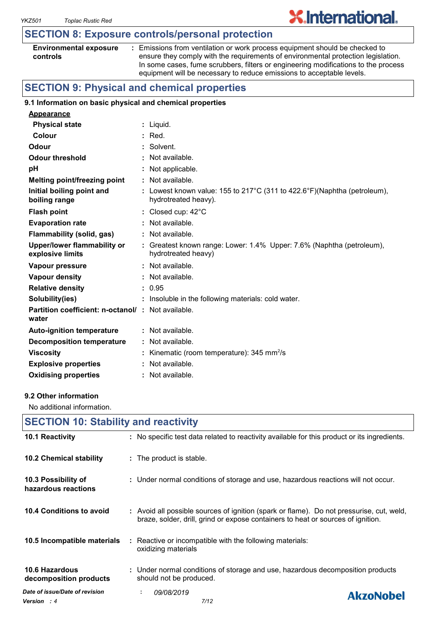# **SECTION 8: Exposure controls/personal protection**

| <b>Environmental exposure</b> |  |
|-------------------------------|--|
| controls                      |  |

**:** Emissions from ventilation or work process equipment should be checked to ensure they comply with the requirements of environmental protection legislation. In some cases, fume scrubbers, filters or engineering modifications to the process equipment will be necessary to reduce emissions to acceptable levels.

**X.International.** 

# **SECTION 9: Physical and chemical properties**

#### **9.1 Information on basic physical and chemical properties**

| <b>Appearance</b>                                                 |                                                                                                  |
|-------------------------------------------------------------------|--------------------------------------------------------------------------------------------------|
| <b>Physical state</b>                                             | : Liquid.                                                                                        |
| Colour                                                            | $:$ Red.                                                                                         |
| Odour                                                             | : Solvent.                                                                                       |
| <b>Odour threshold</b>                                            | : Not available.                                                                                 |
| pH                                                                | : Not applicable.                                                                                |
| <b>Melting point/freezing point</b>                               | : Not available.                                                                                 |
| Initial boiling point and<br>boiling range                        | : Lowest known value: 155 to 217°C (311 to 422.6°F)(Naphtha (petroleum),<br>hydrotreated heavy). |
| <b>Flash point</b>                                                | : Closed cup: $42^{\circ}$ C                                                                     |
| <b>Evaporation rate</b>                                           | $:$ Not available.                                                                               |
| Flammability (solid, gas)                                         | : Not available.                                                                                 |
| <b>Upper/lower flammability or</b><br>explosive limits            | : Greatest known range: Lower: 1.4% Upper: 7.6% (Naphtha (petroleum),<br>hydrotreated heavy)     |
| Vapour pressure                                                   | : Not available.                                                                                 |
| <b>Vapour density</b>                                             | : Not available.                                                                                 |
| <b>Relative density</b>                                           | : 0.95                                                                                           |
| Solubility(ies)                                                   | : Insoluble in the following materials: cold water.                                              |
| <b>Partition coefficient: n-octanol/: Not available.</b><br>water |                                                                                                  |
| <b>Auto-ignition temperature</b>                                  | $:$ Not available.                                                                               |
| <b>Decomposition temperature</b>                                  | : Not available.                                                                                 |
| <b>Viscosity</b>                                                  | : Kinematic (room temperature): $345 \text{ mm}^2/\text{s}$                                      |
| <b>Explosive properties</b>                                       | : Not available.                                                                                 |
| <b>Oxidising properties</b>                                       | : Not available.                                                                                 |

#### **9.2 Other information**

No additional information.

| <b>SECTION 10: Stability and reactivity</b>          |                                                                                                                                                                              |  |  |  |
|------------------------------------------------------|------------------------------------------------------------------------------------------------------------------------------------------------------------------------------|--|--|--|
| 10.1 Reactivity                                      | : No specific test data related to reactivity available for this product or its ingredients.                                                                                 |  |  |  |
| 10.2 Chemical stability                              | : The product is stable.                                                                                                                                                     |  |  |  |
| 10.3 Possibility of<br>hazardous reactions           | : Under normal conditions of storage and use, hazardous reactions will not occur.                                                                                            |  |  |  |
| 10.4 Conditions to avoid                             | : Avoid all possible sources of ignition (spark or flame). Do not pressurise, cut, weld,<br>braze, solder, drill, grind or expose containers to heat or sources of ignition. |  |  |  |
| 10.5 Incompatible materials                          | : Reactive or incompatible with the following materials:<br>oxidizing materials                                                                                              |  |  |  |
| <b>10.6 Hazardous</b><br>decomposition products      | : Under normal conditions of storage and use, hazardous decomposition products<br>should not be produced.                                                                    |  |  |  |
| Date of issue/Date of revision<br><b>Version</b> : 4 | 09/08/2019<br>÷.<br><b>AkzoNobel</b><br>7/12                                                                                                                                 |  |  |  |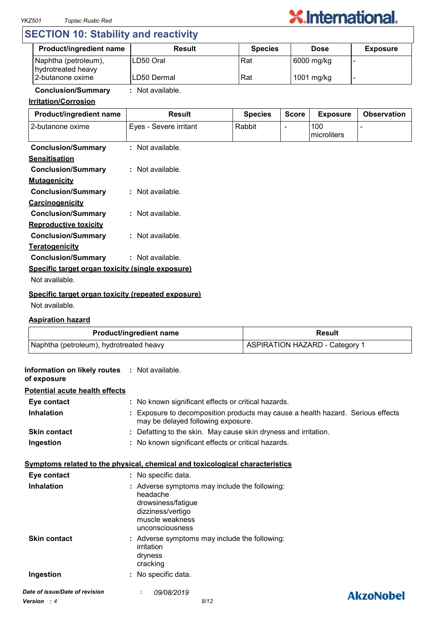

# **SECTION 10: Stability and reactivity**

| <b>Product/ingredient name</b>             | <b>Result</b> | <b>Species</b> | <b>Dose</b> | <b>Exposure</b> |
|--------------------------------------------|---------------|----------------|-------------|-----------------|
| Naphtha (petroleum),<br>hydrotreated heavy | ILD50 Oral    | Rat            | 6000 mg/kg  |                 |
| 2-butanone oxime                           | ILD50 Dermal  | Rat            | 1001 mg/kg  |                 |

## **Conclusion/Summary :** Not available.

#### **Irritation/Corrosion**

| Product/ingredient name                            | <b>Result</b>          | <b>Species</b> | <b>Score</b> | <b>Exposure</b>    | <b>Observation</b> |
|----------------------------------------------------|------------------------|----------------|--------------|--------------------|--------------------|
| 2-butanone oxime                                   | Eyes - Severe irritant | Rabbit         |              | 100<br>microliters |                    |
| <b>Conclusion/Summary</b>                          | : Not available.       |                |              |                    |                    |
| <b>Sensitisation</b>                               |                        |                |              |                    |                    |
| <b>Conclusion/Summary</b>                          | : Not available.       |                |              |                    |                    |
| <b>Mutagenicity</b>                                |                        |                |              |                    |                    |
| <b>Conclusion/Summary</b>                          | : Not available.       |                |              |                    |                    |
| Carcinogenicity                                    |                        |                |              |                    |                    |
| <b>Conclusion/Summary</b>                          | : Not available.       |                |              |                    |                    |
| <b>Reproductive toxicity</b>                       |                        |                |              |                    |                    |
| <b>Conclusion/Summary</b>                          | $:$ Not available.     |                |              |                    |                    |
| <b>Teratogenicity</b>                              |                        |                |              |                    |                    |
| <b>Conclusion/Summary</b>                          | : Not available.       |                |              |                    |                    |
| Specific target organ toxicity (single exposure)   |                        |                |              |                    |                    |
| Not available.                                     |                        |                |              |                    |                    |
| Specific target organ toxicity (repeated exposure) |                        |                |              |                    |                    |

#### Not available.

#### **Aspiration hazard**

| <b>Product/ingredient name</b>          | Result                                |
|-----------------------------------------|---------------------------------------|
| Naphtha (petroleum), hydrotreated heavy | <b>ASPIRATION HAZARD - Category 1</b> |

| Information on likely routes : Not available.<br>of exposure |                                                                                                                                            |                  |
|--------------------------------------------------------------|--------------------------------------------------------------------------------------------------------------------------------------------|------------------|
| <b>Potential acute health effects</b>                        |                                                                                                                                            |                  |
| Eye contact                                                  | : No known significant effects or critical hazards.                                                                                        |                  |
| <b>Inhalation</b>                                            | Exposure to decomposition products may cause a health hazard. Serious effects<br>may be delayed following exposure.                        |                  |
| <b>Skin contact</b>                                          | : Defatting to the skin. May cause skin dryness and irritation.                                                                            |                  |
| Ingestion                                                    | : No known significant effects or critical hazards.                                                                                        |                  |
|                                                              | Symptoms related to the physical, chemical and toxicological characteristics                                                               |                  |
| Eye contact                                                  | : No specific data.                                                                                                                        |                  |
| <b>Inhalation</b>                                            | : Adverse symptoms may include the following:<br>headache<br>drowsiness/fatigue<br>dizziness/vertigo<br>muscle weakness<br>unconsciousness |                  |
| <b>Skin contact</b>                                          | : Adverse symptoms may include the following:<br>irritation<br>dryness<br>cracking                                                         |                  |
| Ingestion                                                    | : No specific data.                                                                                                                        |                  |
| Date of issue/Date of revision                               | 09/08/2019                                                                                                                                 | <b>AkzoNobel</b> |
| <b>Version</b> : 4                                           | 8/12                                                                                                                                       |                  |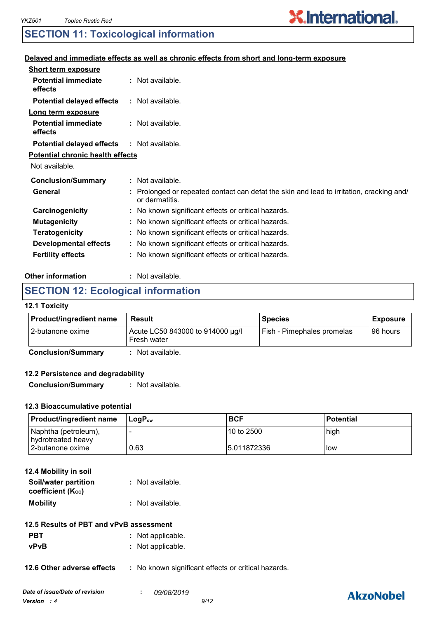# **X.International.**

# **SECTION 11: Toxicological information**

#### **Delayed and immediate effects as well as chronic effects from short and long-term exposure**

| <b>Short term exposure</b>              |                                                                                                            |
|-----------------------------------------|------------------------------------------------------------------------------------------------------------|
| <b>Potential immediate</b><br>effects   | : Not available.                                                                                           |
| <b>Potential delayed effects</b>        | : Not available.                                                                                           |
| Long term exposure                      |                                                                                                            |
| <b>Potential immediate</b><br>effects   | : Not available.                                                                                           |
| <b>Potential delayed effects</b>        | : Not available.                                                                                           |
| <b>Potential chronic health effects</b> |                                                                                                            |
| Not available.                          |                                                                                                            |
| <b>Conclusion/Summary</b>               | : Not available.                                                                                           |
| General                                 | : Prolonged or repeated contact can defat the skin and lead to irritation, cracking and/<br>or dermatitis. |
| Carcinogenicity                         | : No known significant effects or critical hazards.                                                        |
| <b>Mutagenicity</b>                     | : No known significant effects or critical hazards.                                                        |
| <b>Teratogenicity</b>                   | : No known significant effects or critical hazards.                                                        |
| <b>Developmental effects</b>            | : No known significant effects or critical hazards.                                                        |
| <b>Fertility effects</b>                | : No known significant effects or critical hazards.                                                        |

#### **Other information :** : Not available.

# **SECTION 12: Ecological information**

#### **12.1 Toxicity**

| <b>Product/ingredient name</b> | Result                                          | <b>Species</b>             | <b>Exposure</b> |
|--------------------------------|-------------------------------------------------|----------------------------|-----------------|
| 12-butanone oxime              | Acute LC50 843000 to 914000 µg/l<br>Fresh water | Fish - Pimephales promelas | I96 hours       |

**Conclusion/Summary :** Not available.

#### **12.2 Persistence and degradability**

**Conclusion/Summary :** Not available.

#### **12.3 Bioaccumulative potential**

| <b>Product/ingredient name</b>             | ⊺LoɑP <sub>∾w</sub> | <b>BCF</b>   | <b>Potential</b> |
|--------------------------------------------|---------------------|--------------|------------------|
| Naphtha (petroleum),<br>hydrotreated heavy |                     | 10 to 2500   | high             |
| 2-butanone oxime                           | 0.63                | 15.011872336 | low              |

| 12.4 Mobility in soil |                  |
|-----------------------|------------------|
| Soil/water partition  | : Not available. |
| coefficient (Koc)     |                  |
| <b>Mobility</b>       | : Not available. |

- **PBT** : Not applicable.
- **vPvB :** Not applicable.

#### **12.6 Other adverse effects** : No known significant effects or critical hazards.

# **AkzoNobel**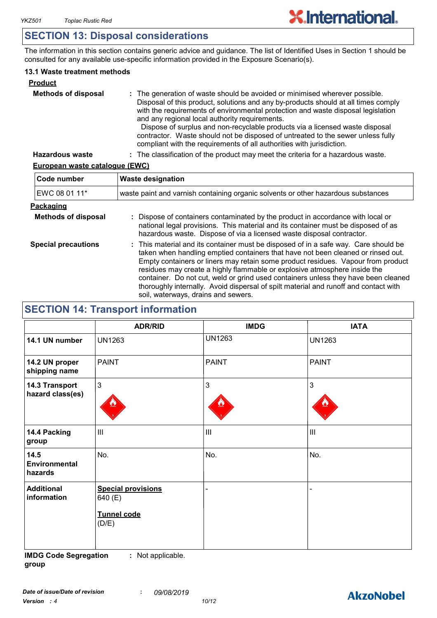# **SECTION 13: Disposal considerations**

The information in this section contains generic advice and guidance. The list of Identified Uses in Section 1 should be consulted for any available use-specific information provided in the Exposure Scenario(s).

#### **13.1 Waste treatment methods**

| <b>Product</b>             |                                                                                                                                                                                                                                                                                                                                                                                                                                                                                                                                                     |
|----------------------------|-----------------------------------------------------------------------------------------------------------------------------------------------------------------------------------------------------------------------------------------------------------------------------------------------------------------------------------------------------------------------------------------------------------------------------------------------------------------------------------------------------------------------------------------------------|
| <b>Methods of disposal</b> | : The generation of waste should be avoided or minimised wherever possible.<br>Disposal of this product, solutions and any by-products should at all times comply<br>with the requirements of environmental protection and waste disposal legislation<br>and any regional local authority requirements.<br>Dispose of surplus and non-recyclable products via a licensed waste disposal<br>contractor. Waste should not be disposed of untreated to the sewer unless fully<br>compliant with the requirements of all authorities with jurisdiction. |
| <b>Hazardous waste</b>     | : The classification of the product may meet the criteria for a hazardous waste.                                                                                                                                                                                                                                                                                                                                                                                                                                                                    |

#### **European waste catalogue (EWC)**

| Code number                | <b>Waste designation</b>                                                                                                                                                                                                                                                                                                                                                                                                                                                                                                                                      |  |
|----------------------------|---------------------------------------------------------------------------------------------------------------------------------------------------------------------------------------------------------------------------------------------------------------------------------------------------------------------------------------------------------------------------------------------------------------------------------------------------------------------------------------------------------------------------------------------------------------|--|
| EWC 08 01 11*              | waste paint and varnish containing organic solvents or other hazardous substances                                                                                                                                                                                                                                                                                                                                                                                                                                                                             |  |
| <b>Packaging</b>           |                                                                                                                                                                                                                                                                                                                                                                                                                                                                                                                                                               |  |
| <b>Methods of disposal</b> | : Dispose of containers contaminated by the product in accordance with local or<br>national legal provisions. This material and its container must be disposed of as<br>hazardous waste. Dispose of via a licensed waste disposal contractor.                                                                                                                                                                                                                                                                                                                 |  |
| <b>Special precautions</b> | : This material and its container must be disposed of in a safe way. Care should be<br>taken when handling emptied containers that have not been cleaned or rinsed out.<br>Empty containers or liners may retain some product residues. Vapour from product<br>residues may create a highly flammable or explosive atmosphere inside the<br>container. Do not cut, weld or grind used containers unless they have been cleaned<br>thoroughly internally. Avoid dispersal of spilt material and runoff and contact with<br>soil, waterways, drains and sewers. |  |

# **SECTION 14: Transport information**

|                                    | <b>ADR/RID</b>                                               | <b>IMDG</b>   | <b>IATA</b>   |
|------------------------------------|--------------------------------------------------------------|---------------|---------------|
| 14.1 UN number                     | <b>UN1263</b>                                                | <b>UN1263</b> | <b>UN1263</b> |
| 14.2 UN proper<br>shipping name    | <b>PAINT</b>                                                 | <b>PAINT</b>  | <b>PAINT</b>  |
| 14.3 Transport<br>hazard class(es) | $\mathfrak{Z}$                                               | 3             | 3             |
| 14.4 Packing<br>group              | III                                                          | III           | III           |
| 14.5<br>Environmental<br>hazards   | No.                                                          | No.           | No.           |
| <b>Additional</b><br>information   | <b>Special provisions</b><br>640 (E)<br>Tunnel code<br>(D/E) |               |               |

**IMDG Code Segregation group :** Not applicable.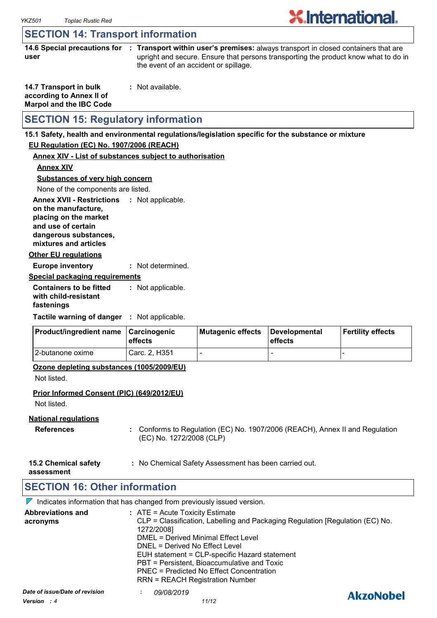# **X**.International.

# **SECTION 14: Transport information**

**14.6 Special precautions for : Transport within user's premises:** always transport in closed containers that are **user** upright and secure. Ensure that persons transporting the product know what to do in the event of an accident or spillage.

| 14.7 Transport in bulk         | : Not available. |
|--------------------------------|------------------|
| according to Annex II of       |                  |
| <b>Marpol and the IBC Code</b> |                  |

# **SECTION 15: Regulatory information**

#### **15.1 Safety, health and environmental regulations/legislation specific for the substance or mixture**

#### **EU Regulation (EC) No. 1907/2006 (REACH)**

#### **Annex XIV - List of substances subject to authorisation**

**Annex XIV**

**Substances of very high concern**

None of the components are listed.

**Annex XVII - Restrictions : Not applicable. on the manufacture, placing on the market** 

**and use of certain** 

**dangerous substances, mixtures and articles**

#### **Other EU regulations**

**Europe inventory :** Not determined.

#### **Special packaging requirements**

**Containers to be fitted with child-resistant fastenings** Not applicable. **:**

**Tactile warning of danger : Not applicable.** 

| <b>Product/ingredient name</b> | <b>∣Carcinogenic</b><br><b>leffects</b> | Mutagenic effects | Developmental<br>effects | Fertility effects |
|--------------------------------|-----------------------------------------|-------------------|--------------------------|-------------------|
| 12-butanone oxime              | Carc. 2. H351                           |                   | -                        |                   |

#### **Ozone depleting substances (1005/2009/EU)**

Not listed.

#### **Prior Informed Consent (PIC) (649/2012/EU)**

Not listed.

#### **National regulations**

- **References :** Conforms to Regulation (EC) No. 1907/2006 (REACH), Annex II and Regulation (EC) No. 1272/2008 (CLP)
- **15.2 Chemical safety :** No Chemical Safety Assessment has been carried out.

**assessment**

# **SECTION 16: Other information**

 $\nabla$  Indicates information that has changed from previously issued version.

| <b>Abbreviations and</b><br>acronyms          | $:$ ATE = Acute Toxicity Estimate<br>CLP = Classification, Labelling and Packaging Regulation [Regulation (EC) No.<br>1272/2008]<br><b>DMEL = Derived Minimal Effect Level</b><br>DNEL = Derived No Effect Level<br>EUH statement = CLP-specific Hazard statement<br>PBT = Persistent, Bioaccumulative and Toxic<br>PNEC = Predicted No Effect Concentration<br><b>RRN = REACH Registration Number</b> |                  |
|-----------------------------------------------|--------------------------------------------------------------------------------------------------------------------------------------------------------------------------------------------------------------------------------------------------------------------------------------------------------------------------------------------------------------------------------------------------------|------------------|
| Date of issue/Date of revision<br>Version : 4 | 09/08/2019<br>11/12                                                                                                                                                                                                                                                                                                                                                                                    | <b>AkzoNobel</b> |